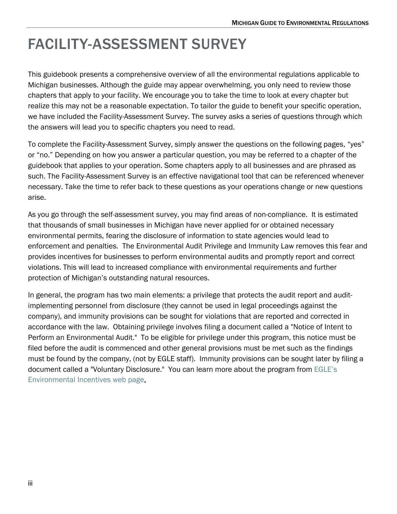# FACILITY-ASSESSMENT SURVEY

This guidebook presents a comprehensive overview of all the environmental regulations applicable to Michigan businesses. Although the guide may appear overwhelming, you only need to review those chapters that apply to your facility. We encourage you to take the time to look at every chapter but realize this may not be a reasonable expectation. To tailor the guide to benefit your specific operation, we have included the Facility-Assessment Survey. The survey asks a series of questions through which the answers will lead you to specific chapters you need to read.

To complete the Facility-Assessment Survey, simply answer the questions on the following pages, "yes" or "no." Depending on how you answer a particular question, you may be referred to a chapter of the guidebook that applies to your operation. Some chapters apply to all businesses and are phrased as such. The Facility-Assessment Survey is an effective navigational tool that can be referenced whenever necessary. Take the time to refer back to these questions as your operations change or new questions arise.

As you go through the self-assessment survey, you may find areas of non-compliance. It is estimated that thousands of small businesses in Michigan have never applied for or obtained necessary environmental permits, fearing the disclosure of information to state agencies would lead to enforcement and penalties. The Environmental Audit Privilege and Immunity Law removes this fear and provides incentives for businesses to perform environmental audits and promptly report and correct violations. This will lead to increased compliance with environmental requirements and further protection of Michigan's outstanding natural resources.

In general, the program has two main elements: a privilege that protects the audit report and auditimplementing personnel from disclosure (they cannot be used in legal proceedings against the company), and immunity provisions can be sought for violations that are reported and corrected in accordance with the law. Obtaining privilege involves filing a document called a "Notice of Intent to Perform an Environmental Audit." To be eligible for privilege under this program, this notice must be filed before the audit is commenced and other general provisions must be met such as the findings must be found by the company, (not by EGLE staff). Immunity provisions can be sought later by filing a document called a "Voluntary Disclosure." You can learn more about the program from [EGLE's](https://www.michigan.gov/egle/0,9429,7-135-3307_3666---,00.html)  [Environmental Incentives web page.](https://www.michigan.gov/egle/0,9429,7-135-3307_3666---,00.html)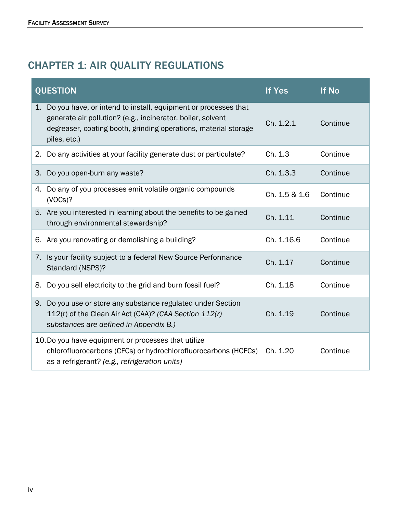## CHAPTER 1: AIR QUALITY REGULATIONS

| <b>QUESTION</b>                                                                                                                                                                                                     | <b>If Yes</b> | <b>If No</b> |
|---------------------------------------------------------------------------------------------------------------------------------------------------------------------------------------------------------------------|---------------|--------------|
| 1. Do you have, or intend to install, equipment or processes that<br>generate air pollution? (e.g., incinerator, boiler, solvent<br>degreaser, coating booth, grinding operations, material storage<br>piles, etc.) | Ch. 1.2.1     | Continue     |
| 2. Do any activities at your facility generate dust or particulate?                                                                                                                                                 | Ch. 1.3       | Continue     |
| 3. Do you open-burn any waste?                                                                                                                                                                                      | Ch. 1.3.3     | Continue     |
| 4. Do any of you processes emit volatile organic compounds<br>$(VOCs)$ ?                                                                                                                                            | Ch. 1.5 & 1.6 | Continue     |
| 5. Are you interested in learning about the benefits to be gained<br>through environmental stewardship?                                                                                                             | Ch. 1.11      | Continue     |
| 6. Are you renovating or demolishing a building?                                                                                                                                                                    | Ch. 1.16.6    | Continue     |
| 7. Is your facility subject to a federal New Source Performance<br>Standard (NSPS)?                                                                                                                                 | Ch. 1.17      | Continue     |
| 8. Do you sell electricity to the grid and burn fossil fuel?                                                                                                                                                        | Ch. 1.18      | Continue     |
| 9. Do you use or store any substance regulated under Section<br>112(r) of the Clean Air Act (CAA)? (CAA Section 112(r)<br>substances are defined in Appendix B.)                                                    | Ch. 1.19      | Continue     |
| 10. Do you have equipment or processes that utilize<br>chlorofluorocarbons (CFCs) or hydrochlorofluorocarbons (HCFCs)<br>as a refrigerant? (e.g., refrigeration units)                                              | Ch. 1.20      | Continue     |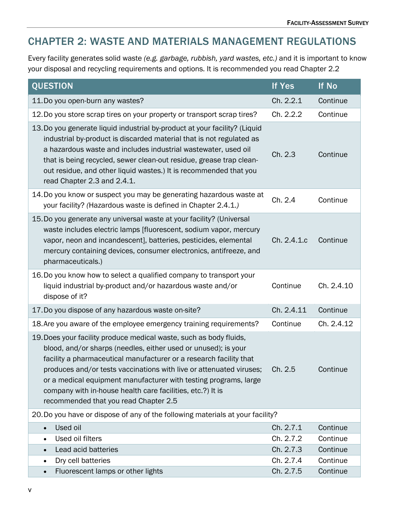#### CHAPTER 2: WASTE AND MATERIALS MANAGEMENT REGULATIONS

Every facility generates solid waste *(e.g. garbage, rubbish, yard wastes, etc.)* and it is important to know your disposal and recycling requirements and options. It is recommended you read Chapter 2.2

| <b>QUESTION</b>                                                                                                                                                                                                                                                                                                                                                                                                                                              | If Yes                 | If No      |  |  |
|--------------------------------------------------------------------------------------------------------------------------------------------------------------------------------------------------------------------------------------------------------------------------------------------------------------------------------------------------------------------------------------------------------------------------------------------------------------|------------------------|------------|--|--|
| 11. Do you open-burn any wastes?                                                                                                                                                                                                                                                                                                                                                                                                                             | Ch. 2.2.1              | Continue   |  |  |
| 12. Do you store scrap tires on your property or transport scrap tires?                                                                                                                                                                                                                                                                                                                                                                                      | Ch. 2.2.2              | Continue   |  |  |
| 13. Do you generate liquid industrial by-product at your facility? (Liquid<br>industrial by-product is discarded material that is not regulated as<br>a hazardous waste and includes industrial wastewater, used oil<br>that is being recycled, sewer clean-out residue, grease trap clean-<br>out residue, and other liquid wastes.) It is recommended that you<br>read Chapter 2.3 and 2.4.1.                                                              | Ch. 2.3                | Continue   |  |  |
| 14. Do you know or suspect you may be generating hazardous waste at<br>your facility? (Hazardous waste is defined in Chapter 2.4.1.)                                                                                                                                                                                                                                                                                                                         | Ch. 2.4                | Continue   |  |  |
| 15. Do you generate any universal waste at your facility? (Universal<br>waste includes electric lamps [fluorescent, sodium vapor, mercury<br>vapor, neon and incandescent], batteries, pesticides, elemental<br>mercury containing devices, consumer electronics, antifreeze, and<br>pharmaceuticals.)                                                                                                                                                       | Ch. 2.4.1.c            | Continue   |  |  |
| 16. Do you know how to select a qualified company to transport your<br>liquid industrial by-product and/or hazardous waste and/or<br>dispose of it?                                                                                                                                                                                                                                                                                                          | Continue               | Ch. 2.4.10 |  |  |
| 17. Do you dispose of any hazardous waste on-site?                                                                                                                                                                                                                                                                                                                                                                                                           | Ch. 2.4.11             | Continue   |  |  |
| 18. Are you aware of the employee emergency training requirements?                                                                                                                                                                                                                                                                                                                                                                                           | Continue               | Ch. 2.4.12 |  |  |
| 19. Does your facility produce medical waste, such as body fluids,<br>blood, and/or sharps (needles, either used or unused); is your<br>facility a pharmaceutical manufacturer or a research facility that<br>produces and/or tests vaccinations with live or attenuated viruses;<br>or a medical equipment manufacturer with testing programs, large<br>company with in-house health care facilities, etc.?) It is<br>recommended that you read Chapter 2.5 | Ch. 2.5                | Continue   |  |  |
| 20. Do you have or dispose of any of the following materials at your facility?                                                                                                                                                                                                                                                                                                                                                                               |                        |            |  |  |
| Used oil                                                                                                                                                                                                                                                                                                                                                                                                                                                     | Ch. 2.7.1              | Continue   |  |  |
| Used oil filters                                                                                                                                                                                                                                                                                                                                                                                                                                             | Ch. 2.7.2              | Continue   |  |  |
| Lead acid batteries<br>$\bullet$                                                                                                                                                                                                                                                                                                                                                                                                                             | Ch. 2.7.3              | Continue   |  |  |
| Dry cell batteries<br>$\bullet$                                                                                                                                                                                                                                                                                                                                                                                                                              | Ch. 2.7.4<br>Ch. 2.7.5 | Continue   |  |  |
| Fluorescent lamps or other lights                                                                                                                                                                                                                                                                                                                                                                                                                            |                        | Continue   |  |  |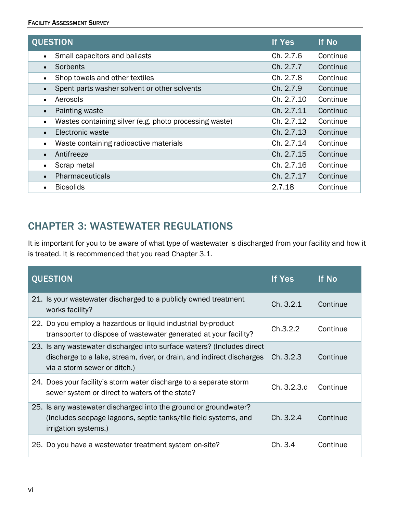| <b>QUESTION</b>                                                     | If Yes     | <b>If No</b> |
|---------------------------------------------------------------------|------------|--------------|
| Small capacitors and ballasts<br>$\bullet$                          | Ch. 2.7.6  | Continue     |
| Sorbents<br>$\bullet$                                               | Ch. 2.7.7  | Continue     |
| Shop towels and other textiles<br>$\bullet$                         | Ch. 2.7.8  | Continue     |
| Spent parts washer solvent or other solvents<br>$\bullet$           | Ch. 2.7.9  | Continue     |
| Aerosols<br>$\bullet$                                               | Ch. 2.7.10 | Continue     |
| Painting waste<br>$\bullet$                                         | Ch. 2.7.11 | Continue     |
| Wastes containing silver (e.g. photo processing waste)<br>$\bullet$ | Ch. 2.7.12 | Continue     |
| Electronic waste<br>$\bullet$                                       | Ch. 2.7.13 | Continue     |
| Waste containing radioactive materials<br>$\bullet$                 | Ch. 2.7.14 | Continue     |
| Antifreeze<br>$\bullet$                                             | Ch. 2.7.15 | Continue     |
| Scrap metal<br>$\bullet$                                            | Ch. 2.7.16 | Continue     |
| Pharmaceuticals<br>$\bullet$                                        | Ch. 2.7.17 | Continue     |
| <b>Biosolids</b><br>$\bullet$                                       | 2.7.18     | Continue     |

## CHAPTER 3: WASTEWATER REGULATIONS

It is important for you to be aware of what type of wastewater is discharged from your facility and how it is treated. It is recommended that you read Chapter 3.1.

| <b>QUESTION</b>                                                                                                                                                                 | If Yes      | <b>If No</b> |
|---------------------------------------------------------------------------------------------------------------------------------------------------------------------------------|-------------|--------------|
| 21. Is your wastewater discharged to a publicly owned treatment<br>works facility?                                                                                              | Ch. 3.2.1   | Continue     |
| 22. Do you employ a hazardous or liquid industrial by-product<br>transporter to dispose of wastewater generated at your facility?                                               | Ch.3.2.2    | Continue     |
| 23. Is any wastewater discharged into surface waters? (Includes direct<br>discharge to a lake, stream, river, or drain, and indirect discharges<br>via a storm sewer or ditch.) | Ch. 3.2.3   | Continue     |
| 24. Does your facility's storm water discharge to a separate storm<br>sewer system or direct to waters of the state?                                                            | Ch. 3.2.3.d | Continue     |
| 25. Is any wastewater discharged into the ground or groundwater?<br>(Includes seepage lagoons, septic tanks/tile field systems, and<br><i>irrigation systems.)</i>              | Ch. 3.2.4   | Continue     |
| 26. Do you have a wastewater treatment system on-site?                                                                                                                          | Ch. 3.4     | Continue     |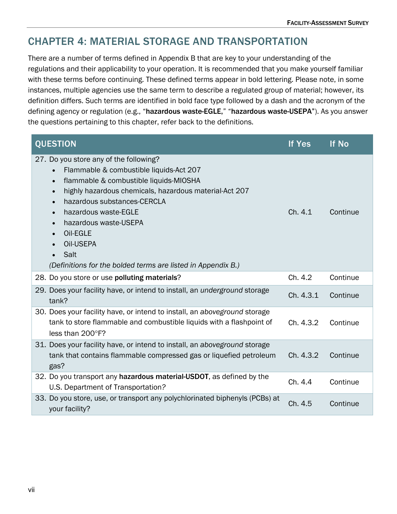## CHAPTER 4: MATERIAL STORAGE AND TRANSPORTATION

There are a number of terms defined in Appendix B that are key to your understanding of the regulations and their applicability to your operation. It is recommended that you make yourself familiar with these terms before continuing. These defined terms appear in bold lettering. Please note, in some instances, multiple agencies use the same term to describe a regulated group of material; however, its definition differs. Such terms are identified in bold face type followed by a dash and the acronym of the defining agency or regulation (e.g., "hazardous waste-EGLE," "hazardous waste-USEPA"). As you answer the questions pertaining to this chapter, refer back to the definitions.

| <b>QUESTION</b>                                                                                                                                                                                                                                                                                                                                                                                                                                      | <b>If Yes</b> | <b>If No</b> |
|------------------------------------------------------------------------------------------------------------------------------------------------------------------------------------------------------------------------------------------------------------------------------------------------------------------------------------------------------------------------------------------------------------------------------------------------------|---------------|--------------|
| 27. Do you store any of the following?<br>Flammable & combustible liquids-Act 207<br>$\bullet$<br>flammable & combustible liquids-MIOSHA<br>highly hazardous chemicals, hazardous material-Act 207<br>$\bullet$<br>hazardous substances-CERCLA<br>$\bullet$<br>hazardous waste-EGLE<br>$\bullet$<br>hazardous waste-USEPA<br>$\bullet$<br>Oil-EGLE<br>$\bullet$<br>Oil-USEPA<br>Salt<br>(Definitions for the bolded terms are listed in Appendix B.) | Ch. 4.1       | Continue     |
| 28. Do you store or use polluting materials?                                                                                                                                                                                                                                                                                                                                                                                                         | Ch. 4.2       | Continue     |
| 29. Does your facility have, or intend to install, an <i>underground</i> storage<br>tank?                                                                                                                                                                                                                                                                                                                                                            | Ch. 4.3.1     | Continue     |
| 30. Does your facility have, or intend to install, an aboveground storage<br>tank to store flammable and combustible liquids with a flashpoint of<br>less than 200°F?                                                                                                                                                                                                                                                                                | Ch. 4.3.2     | Continue     |
| 31. Does your facility have, or intend to install, an aboveground storage<br>tank that contains flammable compressed gas or liquefied petroleum<br>gas?                                                                                                                                                                                                                                                                                              | Ch. 4.3.2     | Continue     |
| 32. Do you transport any hazardous material-USDOT, as defined by the<br>U.S. Department of Transportation?                                                                                                                                                                                                                                                                                                                                           | Ch. 4.4       | Continue     |
| 33. Do you store, use, or transport any polychlorinated biphenyls (PCBs) at<br>your facility?                                                                                                                                                                                                                                                                                                                                                        | Ch. 4.5       | Continue     |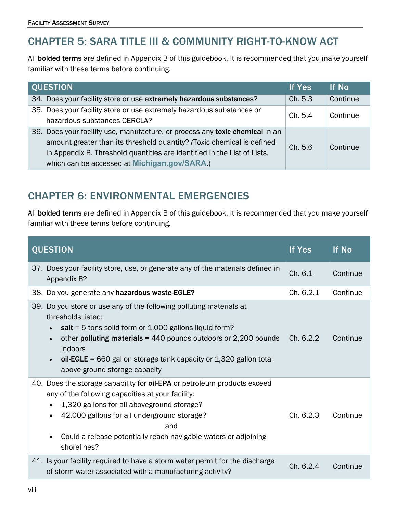## CHAPTER 5: SARA TITLE III & COMMUNITY RIGHT-TO-KNOW ACT

All **bolded terms** are defined in Appendix B of this guidebook. It is recommended that you make yourself familiar with these terms before continuing.

| <b>QUESTION</b>                                                                                                                                                                                                                                                                    | <b>If Yes</b> | If No    |
|------------------------------------------------------------------------------------------------------------------------------------------------------------------------------------------------------------------------------------------------------------------------------------|---------------|----------|
| 34. Does your facility store or use extremely hazardous substances?                                                                                                                                                                                                                | Ch. 5.3       | Continue |
| 35. Does your facility store or use extremely hazardous substances or<br>hazardous substances-CERCLA?                                                                                                                                                                              | Ch. 5.4       | Continue |
| 36. Does your facility use, manufacture, or process any toxic chemical in an<br>amount greater than its threshold quantity? (Toxic chemical is defined<br>in Appendix B. Threshold quantities are identified in the List of Lists,<br>which can be accessed at Michigan.gov/SARA.) | Ch. 5.6       | Continue |

## CHAPTER 6: ENVIRONMENTAL EMERGENCIES

All **bolded terms** are defined in Appendix B of this guidebook. It is recommended that you make yourself familiar with these terms before continuing.

| <b>QUESTION</b>                                                                                                                                                                                                                                                                                                                                    | <b>If Yes</b> | <b>If No</b> |
|----------------------------------------------------------------------------------------------------------------------------------------------------------------------------------------------------------------------------------------------------------------------------------------------------------------------------------------------------|---------------|--------------|
| 37. Does your facility store, use, or generate any of the materials defined in<br>Appendix B?                                                                                                                                                                                                                                                      | Ch. 6.1       | Continue     |
| 38. Do you generate any hazardous waste-EGLE?                                                                                                                                                                                                                                                                                                      | Ch. 6.2.1     | Continue     |
| 39. Do you store or use any of the following polluting materials at<br>thresholds listed:<br>salt = $5$ tons solid form or 1,000 gallons liquid form?<br>other <b>polluting materials = 440</b> pounds outdoors or 2,200 pounds<br>indoors<br>oil-EGLE = $660$ gallon storage tank capacity or 1,320 gallon total<br>above ground storage capacity | Ch. 6.2.2     | Continue     |
| 40. Does the storage capability for oil-EPA or petroleum products exceed<br>any of the following capacities at your facility:<br>1,320 gallons for all aboveground storage?<br>42,000 gallons for all underground storage?<br>and<br>Could a release potentially reach navigable waters or adjoining<br>shorelines?                                | Ch. 6.2.3     | Continue     |
| 41. Is your facility required to have a storm water permit for the discharge<br>of storm water associated with a manufacturing activity?                                                                                                                                                                                                           | Ch. 6.2.4     | Continue     |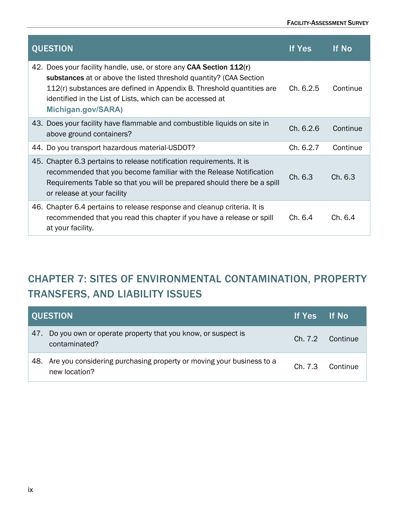| <b>QUESTION</b>                                                                                                                                                                                                                                                                                         | If Yes    | <b>If No</b> |
|---------------------------------------------------------------------------------------------------------------------------------------------------------------------------------------------------------------------------------------------------------------------------------------------------------|-----------|--------------|
| 42. Does your facility handle, use, or store any CAA Section 112(r)<br>substances at or above the listed threshold quantity? (CAA Section<br>$112(r)$ substances are defined in Appendix B. Threshold quantities are<br>identified in the List of Lists, which can be accessed at<br>Michigan.gov/SARA) | Ch. 6.2.5 | Continue     |
| 43. Does your facility have flammable and combustible liquids on site in<br>above ground containers?                                                                                                                                                                                                    | Ch. 6.2.6 | Continue     |
| 44. Do you transport hazardous material-USDOT?                                                                                                                                                                                                                                                          | Ch. 6.2.7 | Continue     |
| 45. Chapter 6.3 pertains to release notification requirements. It is<br>recommended that you become familiar with the Release Notification<br>Requirements Table so that you will be prepared should there be a spill<br>or release at your facility                                                    | Ch. 6.3   | Ch. 6.3      |
| 46. Chapter 6.4 pertains to release response and cleanup criteria. It is<br>recommended that you read this chapter if you have a release or spill<br>at your facility.                                                                                                                                  | Ch. 6.4   | Ch. 6.4      |

## CHAPTER 7: SITES OF ENVIRONMENTAL CONTAMINATION, PROPERTY TRANSFERS, AND LIABILITY ISSUES

|     | <b>QUESTION</b>                                                                       | If Yes If No |                  |
|-----|---------------------------------------------------------------------------------------|--------------|------------------|
| 47. | Do you own or operate property that you know, or suspect is<br>contaminated?          |              | Ch. 7.2 Continue |
| 48. | Are you considering purchasing property or moving your business to a<br>new location? | Ch. 7.3      | Continue         |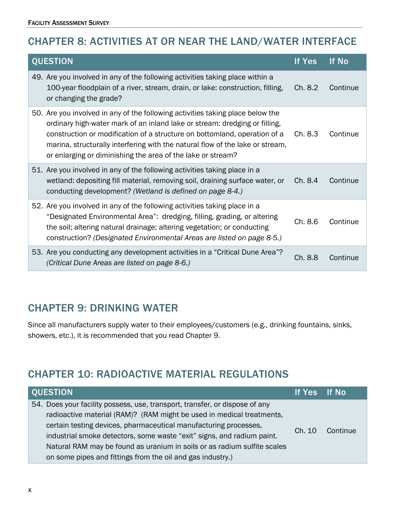## CHAPTER 8: ACTIVITIES AT OR NEAR THE LAND/WATER INTERFACE

| <b>QUESTION</b>                                                                                                                                                                                                                                                                                                                                                                           | If Yes  | If No    |
|-------------------------------------------------------------------------------------------------------------------------------------------------------------------------------------------------------------------------------------------------------------------------------------------------------------------------------------------------------------------------------------------|---------|----------|
| 49. Are you involved in any of the following activities taking place within a<br>100-year floodplain of a river, stream, drain, or lake: construction, filling,<br>or changing the grade?                                                                                                                                                                                                 | Ch. 8.2 | Continue |
| 50. Are you involved in any of the following activities taking place below the<br>ordinary high-water mark of an inland lake or stream: dredging or filling,<br>construction or modification of a structure on bottomland, operation of a<br>marina, structurally interfering with the natural flow of the lake or stream,<br>or enlarging or diminishing the area of the lake or stream? | Ch. 8.3 | Continue |
| 51. Are you involved in any of the following activities taking place in a<br>wetland: depositing fill material, removing soil, draining surface water, or<br>conducting development? (Wetland is defined on page 8-4.)                                                                                                                                                                    | Ch. 8.4 | Continue |
| 52. Are you involved in any of the following activities taking place in a<br>"Designated Environmental Area": dredging, filling, grading, or altering<br>the soil; altering natural drainage; altering vegetation; or conducting<br>construction? (Designated Environmental Areas are listed on page 8-5.)                                                                                | Ch. 8.6 | Continue |
| 53. Are you conducting any development activities in a "Critical Dune Area"?<br>(Critical Dune Areas are listed on page 8-6.)                                                                                                                                                                                                                                                             | Ch. 8.8 | Continue |

#### CHAPTER 9: DRINKING WATER

Since all manufacturers supply water to their employees/customers (e.g., drinking fountains, sinks, showers, etc.), it is recommended that you read Chapter 9.

## CHAPTER 10: RADIOACTIVE MATERIAL REGULATIONS

| <b>QUESTION</b>                                                             | If Yes If No |          |
|-----------------------------------------------------------------------------|--------------|----------|
| 54. Does your facility possess, use, transport, transfer, or dispose of any |              |          |
| radioactive material (RAM)? (RAM might be used in medical treatments,       |              |          |
| certain testing devices, pharmaceutical manufacturing processes,            | Ch. 10       | Continue |
| industrial smoke detectors, some waste "exit" signs, and radium paint.      |              |          |
| Natural RAM may be found as uranium in soils or as radium sulfite scales    |              |          |
| on some pipes and fittings from the oil and gas industry.)                  |              |          |